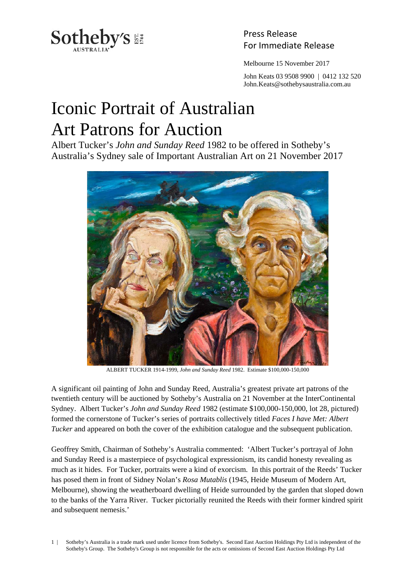

Press Release

Melbourne 15 November 2017

 John Keats 03 9508 9900 | 0412 132 520 John.Keats@sothebysaustralia.com.au

## Iconic Portrait of Australian Art Patrons for Auction

Albert Tucker's *John and Sunday Reed* 1982 to be offered in Sotheby's Australia's Sydney sale of Important Australian Art on 21 November 2017



ALBERT TUCKER 1914-1999, *John and Sunday Reed* 1982. Estimate \$100,000-150,000

A significant oil painting of John and Sunday Reed, Australia's greatest private art patrons of the twentieth century will be auctioned by Sotheby's Australia on 21 November at the InterContinental Sydney. Albert Tucker's *John and Sunday Reed* 1982 (estimate \$100,000-150,000, lot 28, pictured) formed the cornerstone of Tucker's series of portraits collectively titled *Faces I have Met: Albert Tucker* and appeared on both the cover of the exhibition catalogue and the subsequent publication.

Geoffrey Smith, Chairman of Sotheby's Australia commented: 'Albert Tucker's portrayal of John and Sunday Reed is a masterpiece of psychological expressionism, its candid honesty revealing as much as it hides. For Tucker, portraits were a kind of exorcism. In this portrait of the Reeds' Tucker has posed them in front of Sidney Nolan's *Rosa Mutablis* (1945, Heide Museum of Modern Art, Melbourne), showing the weatherboard dwelling of Heide surrounded by the garden that sloped down to the banks of the Yarra River. Tucker pictorially reunited the Reeds with their former kindred spirit and subsequent nemesis.'

1 | Sotheby's Australia is a trade mark used under licence from Sotheby's. Second East Auction Holdings Pty Ltd is independent of the Sotheby's Group. The Sotheby's Group is not responsible for the acts or omissions of Second East Auction Holdings Pty Ltd